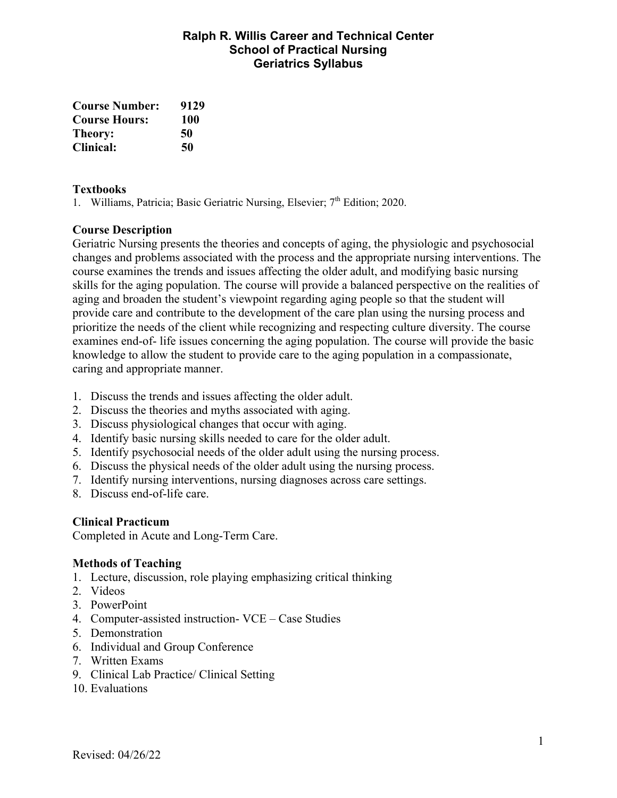## **Ralph R. Willis Career and Technical Center School of Practical Nursing Geriatrics Syllabus**

| <b>Course Number:</b> | 9129 |
|-----------------------|------|
| <b>Course Hours:</b>  | 100  |
| Theory:               | 50   |
| <b>Clinical:</b>      | 50   |

#### **Textbooks**

1. Williams, Patricia; Basic Geriatric Nursing, Elsevier; 7<sup>th</sup> Edition; 2020.

## **Course Description**

Geriatric Nursing presents the theories and concepts of aging, the physiologic and psychosocial changes and problems associated with the process and the appropriate nursing interventions. The course examines the trends and issues affecting the older adult, and modifying basic nursing skills for the aging population. The course will provide a balanced perspective on the realities of aging and broaden the student's viewpoint regarding aging people so that the student will provide care and contribute to the development of the care plan using the nursing process and prioritize the needs of the client while recognizing and respecting culture diversity. The course examines end-of- life issues concerning the aging population. The course will provide the basic knowledge to allow the student to provide care to the aging population in a compassionate, caring and appropriate manner.

- 1. Discuss the trends and issues affecting the older adult.
- 2. Discuss the theories and myths associated with aging.
- 3. Discuss physiological changes that occur with aging.
- 4. Identify basic nursing skills needed to care for the older adult.
- 5. Identify psychosocial needs of the older adult using the nursing process.
- 6. Discuss the physical needs of the older adult using the nursing process.
- 7. Identify nursing interventions, nursing diagnoses across care settings.
- 8. Discuss end-of-life care.

#### **Clinical Practicum**

Completed in Acute and Long-Term Care.

#### **Methods of Teaching**

- 1. Lecture, discussion, role playing emphasizing critical thinking
- 2. Videos
- 3. PowerPoint
- 4. Computer-assisted instruction- VCE Case Studies
- 5. Demonstration
- 6. Individual and Group Conference
- 7. Written Exams
- 9. Clinical Lab Practice/ Clinical Setting
- 10. Evaluations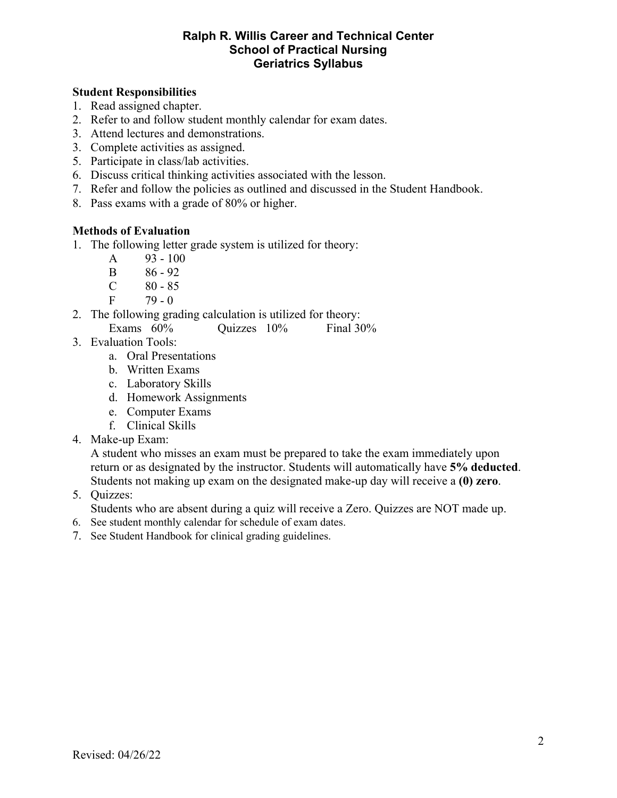#### **Ralph R. Willis Career and Technical Center School of Practical Nursing Geriatrics Syllabus**

#### **Student Responsibilities**

- 1. Read assigned chapter.
- 2. Refer to and follow student monthly calendar for exam dates.
- 3. Attend lectures and demonstrations.
- 3. Complete activities as assigned.
- 5. Participate in class/lab activities.
- 6. Discuss critical thinking activities associated with the lesson.
- 7. Refer and follow the policies as outlined and discussed in the Student Handbook.
- 8. Pass exams with a grade of 80% or higher.

#### **Methods of Evaluation**

- 1. The following letter grade system is utilized for theory:
	- A  $93 100$
	- B 86 92
	- $C \t 80 85$
	- $F = 79 0$
- 2. The following grading calculation is utilized for theory: Exams  $60\%$  Ouizzes  $10\%$  Final  $30\%$
- 3. Evaluation Tools:
	- a. Oral Presentations
	- b. Written Exams
	- c. Laboratory Skills
	- d. Homework Assignments
	- e. Computer Exams
	- f. Clinical Skills
- 4. Make-up Exam:

A student who misses an exam must be prepared to take the exam immediately upon return or as designated by the instructor. Students will automatically have **5% deducted**. Students not making up exam on the designated make-up day will receive a **(0) zero**.

5. Quizzes:

Students who are absent during a quiz will receive a Zero. Quizzes are NOT made up.

- 6. See student monthly calendar for schedule of exam dates.
- 7. See Student Handbook for clinical grading guidelines.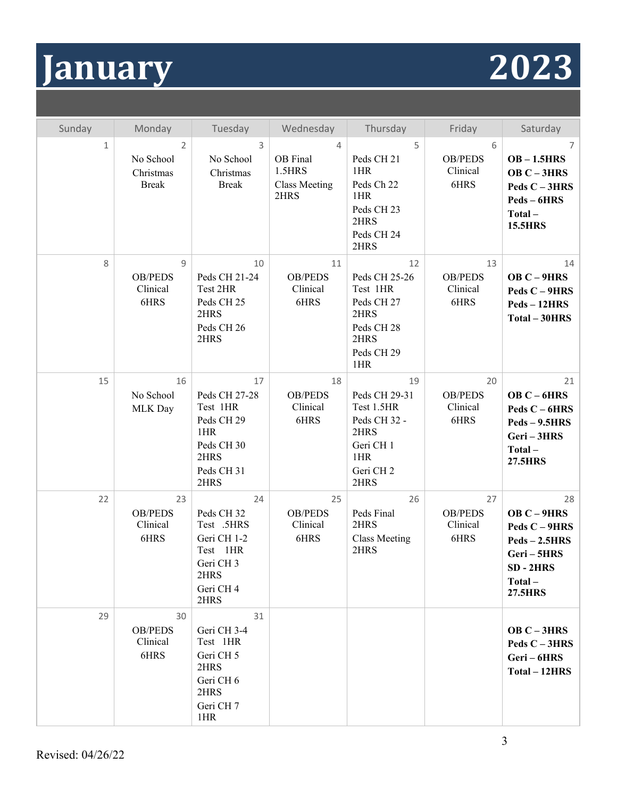# **January 2023**

| Sunday       | Monday                                                   | Tuesday                                                                                                     | Wednesday                                               | Thursday                                                                                                                          | Friday                                   | Saturday                                                                                                    |
|--------------|----------------------------------------------------------|-------------------------------------------------------------------------------------------------------------|---------------------------------------------------------|-----------------------------------------------------------------------------------------------------------------------------------|------------------------------------------|-------------------------------------------------------------------------------------------------------------|
| $\mathbf{1}$ | $\overline{2}$<br>No School<br>Christmas<br><b>Break</b> | 3<br>No School<br>Christmas<br><b>Break</b>                                                                 | 4<br>OB Final<br>1.5HRS<br><b>Class Meeting</b><br>2HRS | 5<br>Peds CH <sub>21</sub><br>1HR<br>Peds Ch 22<br>1HR<br>Peds CH <sub>23</sub><br>2HRS<br>Peds CH 24<br>2HRS                     | 6<br><b>OB/PEDS</b><br>Clinical<br>6HRS  | 7<br>$OB - 1.5HRS$<br>OB $C-3HRS$<br>Peds $C - 3HRS$<br>Peds - 6HRS<br>Total-<br><b>15.5HRS</b>             |
| 8            | $\overline{9}$<br><b>OB/PEDS</b><br>Clinical<br>6HRS     | 10<br>Peds CH 21-24<br>Test 2HR<br>Peds CH <sub>25</sub><br>2HRS<br>Peds CH <sub>26</sub><br>2HRS           | 11<br><b>OB/PEDS</b><br>Clinical<br>6HRS                | 12<br>Peds CH 25-26<br>Test 1HR<br>Peds CH <sub>27</sub><br>2HRS<br>Peds CH <sub>28</sub><br>2HRS<br>Peds CH <sub>29</sub><br>1HR | 13<br><b>OB/PEDS</b><br>Clinical<br>6HRS | 14<br>OB $C-9HRS$<br>Peds C - 9HRS<br>$Peds - 12HRS$<br>Total - 30HRS                                       |
| 15           | 16<br>No School<br>MLK Day                               | 17<br>Peds CH 27-28<br>Test 1HR<br>Peds CH <sub>29</sub><br>1HR<br>Peds CH 30<br>2HRS<br>Peds CH 31<br>2HRS | 18<br><b>OB/PEDS</b><br>Clinical<br>6HRS                | 19<br>Peds CH 29-31<br>Test 1.5HR<br>Peds CH 32 -<br>2HRS<br>Geri CH 1<br>1HR<br>Geri CH <sub>2</sub><br>2HRS                     | 20<br><b>OB/PEDS</b><br>Clinical<br>6HRS | 21<br>OB $C - 6HRS$<br>Peds $C - 6HRS$<br>$Peds - 9.5HRS$<br>Geri-3HRS<br>Total-<br><b>27.5HRS</b>          |
| 22           | 23<br><b>OB/PEDS</b><br>Clinical<br>6HRS                 | 24<br>Peds CH 32<br>Test .5HRS<br>Geri CH 1-2<br>Test 1HR<br>Geri CH 3<br>2HRS<br>Geri CH 4<br>2HRS         | 25<br><b>OB/PEDS</b><br>Clinical<br>6HRS                | 26<br>Peds Final<br>2HRS<br><b>Class Meeting</b><br>2HRS                                                                          | 27<br><b>OB/PEDS</b><br>Clinical<br>6HRS | 28<br>OB C-9HRS<br>Peds C - 9HRS<br>$Peds - 2.5HRS$<br>Geri-5HRS<br>$SD - 2HRS$<br>Total-<br><b>27.5HRS</b> |
| 29           | 30<br><b>OB/PEDS</b><br>Clinical<br>6HRS                 | 31<br>Geri CH 3-4<br>Test 1HR<br>Geri CH 5<br>2HRS<br>Geri CH 6<br>2HRS<br>Geri CH 7<br>1HR                 |                                                         |                                                                                                                                   |                                          | OB $C - 3HRS$<br>Peds $C - 3HRS$<br>Geri-6HRS<br>Total - 12HRS                                              |